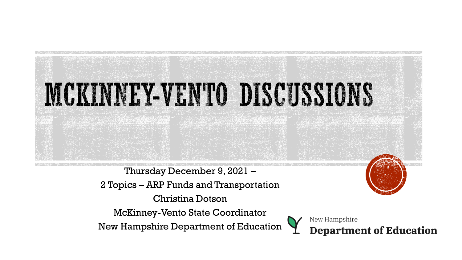

Thursday December 9, 2021 – 2 Topics – ARP Funds and Transportation

Christina Dotson

McKinney-Vento State Coordinator

New Hampshire Department of Education



New Hampshire **Department of Education**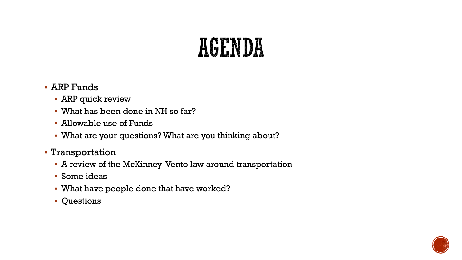#### AGENDA

- ARP Funds
	- **ARP** quick review
	- What has been done in NH so far?
	- Allowable use of Funds
	- What are your questions? What are you thinking about?
- Transportation
	- A review of the McKinney-Vento law around transportation
	- Some ideas
	- What have people done that have worked?
	- **Questions**

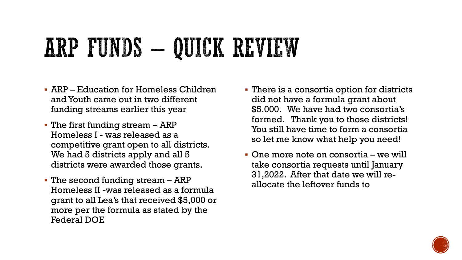# ARP FUNDS – QUICK REVIEW

- ARP Education for Homeless Children and Youth came out in two different funding streams earlier this year
- The first funding stream ARP Homeless I - was released as a competitive grant open to all districts. We had 5 districts apply and all 5 districts were awarded those grants.
- The second funding stream ARP Homeless II -was released as a formula grant to all Lea's that received \$5,000 or more per the formula as stated by the Federal DOE
- There is a consortia option for districts did not have a formula grant about \$5,000. We have had two consortia's formed. Thank you to those districts! You still have time to form a consortia so let me know what help you need!
- One more note on consortia we will take consortia requests until January 31,2022. After that date we will reallocate the leftover funds to

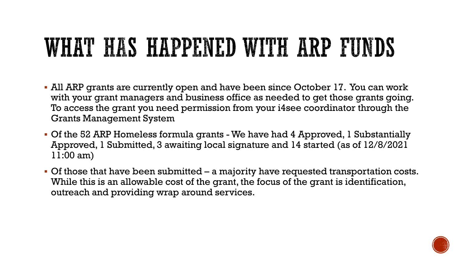## WHAT HAS HAPPENED WITH ARP FUNDS

- All ARP grants are currently open and have been since October 17. You can work with your grant managers and business office as needed to get those grants going. To access the grant you need permission from your i4see coordinator through the Grants Management System
- Of the 52 ARP Homeless formula grants We have had 4 Approved, 1 Substantially Approved, 1 Submitted, 3 awaiting local signature and 14 started (as of 12/8/2021 11:00 am)
- Of those that have been submitted a majority have requested transportation costs. While this is an allowable cost of the grant, the focus of the grant is identification, outreach and providing wrap around services.

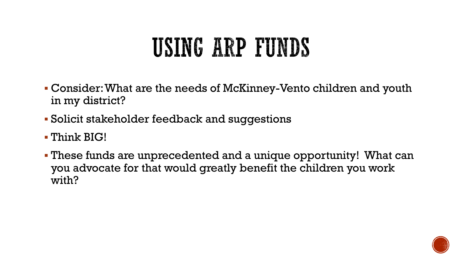#### USING ARP FUNDS

- Consider: What are the needs of McKinney-Vento children and youth in my district?
- Solicit stakeholder feedback and suggestions
- **Think BIG!**
- These funds are unprecedented and a unique opportunity! What can you advocate for that would greatly benefit the children you work with?

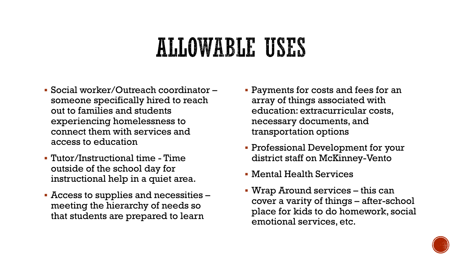#### ALLOWABLE USES

- Social worker/Outreach coordinator someone specifically hired to reach out to families and students experiencing homelessness to connect them with services and access to education
- Tutor/Instructional time Time outside of the school day for instructional help in a quiet area.
- Access to supplies and necessities meeting the hierarchy of needs so that students are prepared to learn
- Payments for costs and fees for an array of things associated with education: extracurricular costs, necessary documents, and transportation options
- Professional Development for your district staff on McKinney-Vento
- Mental Health Services
- Wrap Around services this can cover a varity of things – after-school place for kids to do homework, social emotional services, etc.

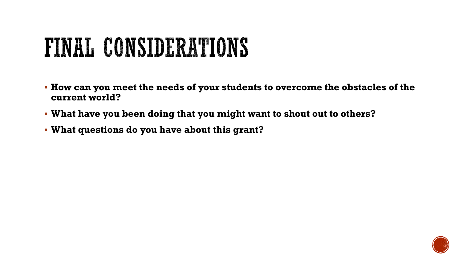#### FINAL CONSIDERATIONS

- **How can you meet the needs of your students to overcome the obstacles of the current world?**
- **What have you been doing that you might want to shout out to others?**
- **What questions do you have about this grant?**

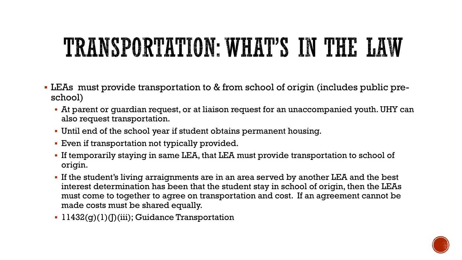#### **TRANSPORTATION: WHAT'S IN THE LAW**

- LEAs must provide transportation to & from school of origin (includes public preschool)
	- At parent or guardian request, or at liaison request for an unaccompanied youth. UHY can also request transportation.
	- Until end of the school year if student obtains permanent housing.
	- Even if transportation not typically provided.
	- If temporarily staying in same LEA, that LEA must provide transportation to school of origin.
	- If the student's living arraignments are in an area served by another LEA and the best interest determination has been that the student stay in school of origin, then the LEAs must come to together to agree on transportation and cost. If an agreement cannot be made costs must be shared equally.
	- 11432(g)(1)(J)(iii); Guidance Transportation

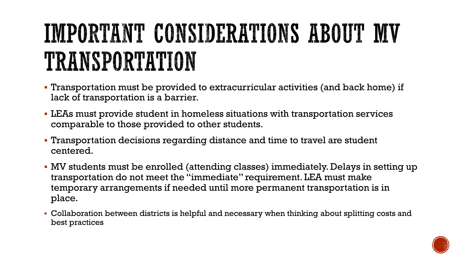## IMPORTANT CONSIDERATIONS ABOUT MV TRANSPORTATION

- Transportation must be provided to extracurricular activities (and back home) if lack of transportation is a barrier.
- LEAs must provide student in homeless situations with transportation services comparable to those provided to other students.
- Transportation decisions regarding distance and time to travel are student centered.
- MV students must be enrolled (attending classes) immediately. Delays in setting up transportation do not meet the "immediate" requirement. LEA must make temporary arrangements if needed until more permanent transportation is in place.
- Collaboration between districts is helpful and necessary when thinking about splitting costs and best practices

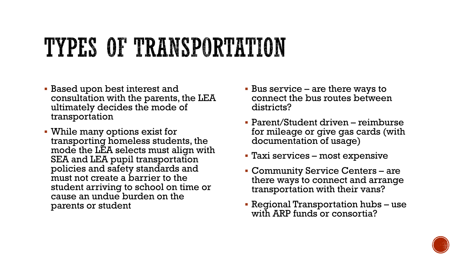## TYPES OF TRANSPORTATION

- Based upon best interest and consultation with the parents, the LEA ultimately decides the mode of transportation
- While many options exist for transporting homeless students, the mode the LEA selects must align with SEA and LEA pupil transportation policies and safety standards and must not create a barrier to the student arriving to school on time or cause an undue burden on the parents or student
- Bus service are there ways to connect the bus routes between districts?
- Parent/Student driven reimburse for mileage or give gas cards (with documentation of usage)
- Taxi services most expensive
- Community Service Centers are there ways to connect and arrange transportation with their vans?
- Regional Transportation hubs use with ARP funds or consortia?

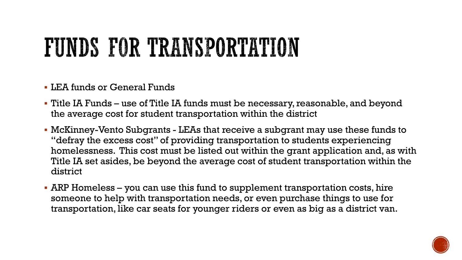## FUNDS FOR TRANSPORTATION

#### LEA funds or General Funds

- Title IA Funds use of Title IA funds must be necessary, reasonable, and beyond the average cost for student transportation within the district
- McKinney-Vento Subgrants LEAs that receive a subgrant may use these funds to "defray the excess cost" of providing transportation to students experiencing homelessness. This cost must be listed out within the grant application and, as with Title IA set asides, be beyond the average cost of student transportation within the district
- ARP Homeless you can use this fund to supplement transportation costs, hire someone to help with transportation needs, or even purchase things to use for transportation, like car seats for younger riders or even as big as a district van.

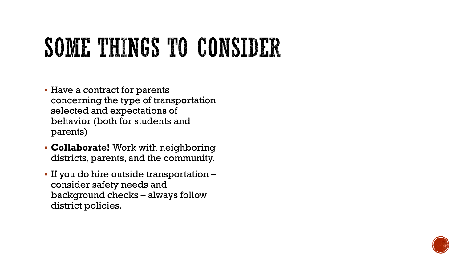## SOME THINGS TO CONSIDER

- Have a contract for parents concerning the type of transportation selected and expectations of behavior (both for students and parents)
- **Collaborate!** Work with neighboring districts, parents, and the community.
- If you do hire outside transportation consider safety needs and background checks – always follow district policies.

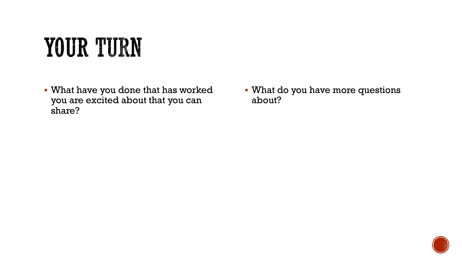## YOUR TURN

 What have you done that has worked you are excited about that you can share?

 What do you have more questions about?

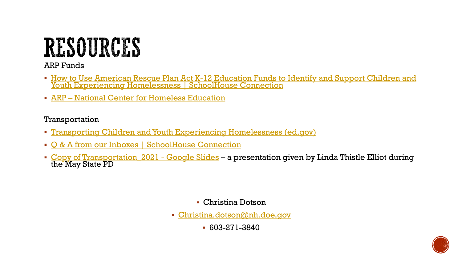#### RESOURCES

#### ARP Funds

- **Exampt 1 Figure 1** Figure 1 and 5 and 5 and 5 and 5 and 5 and 5 and 5 and 5 and 5 and 5 and 5 and 5 and 5 and 5 and 5 and 5 and 5 and 5 and 5 and 5 and 5 and 5 and 5 and 5 and 5 and 5 and 5 and 5 and 5 and 5 and 5 and 5 a Youth Experiencing Homelessness | SchoolHouse Connection
- ARP [National Center for Homeless Education](https://nche.ed.gov/legislation/arp/)

#### Transportation

- [Transporting Children and Youth Experiencing Homelessness \(ed.gov\)](https://nche.ed.gov/wp-content/uploads/2019/01/transportation.pdf)
- [Q & A from our Inboxes | SchoolHouse](https://schoolhouseconnection.org/learn/from-our-inboxes/) Connection
- Copy of Transportation 2021 Google Slides a presentation given by Linda Thistle Elliot during the May State PD

- Christina Dotson
- [Christina.dotson@nh.doe.gov](mailto:Christina.dotson@nh.doe.gov)
	- 603-271-3840